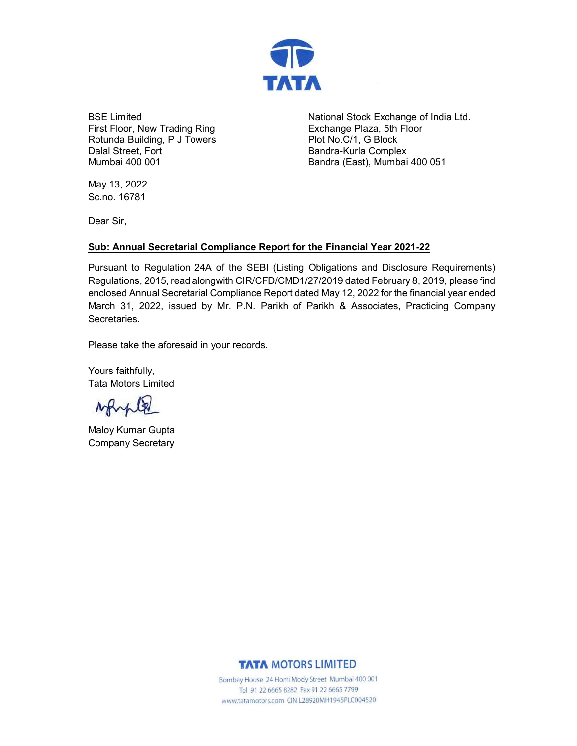

BSE Limited First Floor, New Trading Ring Rotunda Building, P J Towers Dalal Street, Fort Mumbai 400 001

National Stock Exchange of India Ltd. Exchange Plaza, 5th Floor Plot No.C/1, G Block Bandra-Kurla Complex Bandra (East), Mumbai 400 051

May 13, 2022 Sc.no. 16781

Dear Sir,

## Sub: Annual Secretarial Compliance Report for the Financial Year 2021-22

Pursuant to Regulation 24A of the SEBI (Listing Obligations and Disclosure Requirements) Regulations, 2015, read alongwith CIR/CFD/CMD1/27/2019 dated February 8, 2019, please find enclosed Annual Secretarial Compliance Report dated May 12, 2022 for the financial year ended March 31, 2022, issued by Mr. P.N. Parikh of Parikh & Associates, Practicing Company Secretaries.

Please take the aforesaid in your records.

Yours faithfully, Tata Motors Limited

Marple

Maloy Kumar Gupta Company Secretary

## **TATA MOTORS LIMITED**

Bombay House 24 Homi Mody Street Mumbai 400 001 Tel 91 22 6665 8282 Fax 91 22 6665 7799 www.tatamotors.com CIN L28920MH1945PLC004520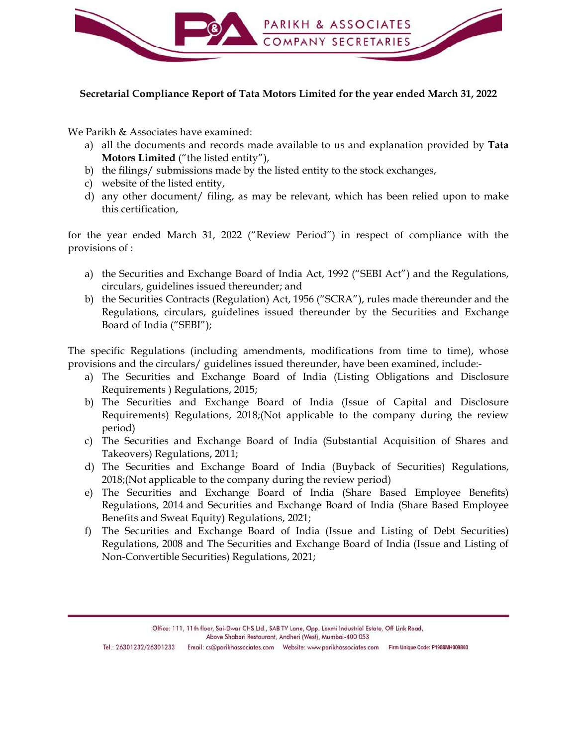

## Secretarial Compliance Report of Tata Motors Limited for the year ended March 31, 2022

We Parikh & Associates have examined:

- Motors Limited ("the listed entity"),
- 
- 
- this certification,

for the year ended March 31, 2022 ("Review Period") in respect of compliance with the provisions of :

- circulars, guidelines issued thereunder; and
- **EXECUTE ART SECRETARIES**<br> **EXECUTE ANOTEST COMPANY SECRETARIES**<br> **Parikh & Associates have examined**:<br> **a)** all the documents and records made available to us and explanation provided by **Tata**<br> **Motors Limited** ("the lis ecretarial Compliance Report of Tata Motors Limited for the year ended March 31, 2022<br>
Parikh & Associates have examined:<br>
a) all the documents and records made available to us and explanation provided by Tata<br>
Motors Limi Regulations, circulars, guidelines issued thereunder by the Securities and Exchange Board of India ("SEBI"); a) all the documents and records made available to us and explanation provided by **Tata**<br>
by the filings/ submissions made by the listed entity to the stock exchanges,<br>
c) website of the listed entity,<br>
d) any other docume b) the filings/ submissions made by the listed entity to the stock exchanges,<br>
c) website of the listed entity,<br>
d) any other document/ filing, as may be relevant, which has been relied upon to make<br>
this certification,<br>
t this certification,<br>
the year ended March 31, 2022 ("Review Period") in respect of compliance with the<br>
visions of :<br>
a) the Securities and Exchange Board of India Act, 1992 ("SEBI Act") and the Regulations,<br>
eirculars, gu the year ended March 31, 2022 ("Review Period") in respect of compliance with the<br>
a) the Securities and Exchange Board of India Act, 1992 ("SEBI Act") and the Regulations,<br>
circulars, guidelines issued thereunder, and<br>
b) a) the Securities and Exchange Board of India Act, 1992 ("SEBI Act") and the Regulations,<br>circulars, guidelines issued there<br>under, and<br>the Begulations, circulars, (ifegulation) Act, 1956 ("SCRA"), rules made there<br>under a

The specific Regulations (including amendments, modifications from time to time), whose provisions and the circulars/ guidelines issued thereunder, have been examined, include:-

- Requirements ) Regulations, 2015;
- Requirements) Regulations, 2018;(Not applicable to the company during the review period) b) the Securities Contracts (Regulation) Act, 1956 ("SCRA"), rules made thereunder and the Regulations, circulars, guidelines issued thereunder by the Securities and Exchange Board of India ("SEBI");<br>specific Regulations (
- Takeovers) Regulations, 2011;
- 2018;(Not applicable to the company during the review period)
- Regulations, 2014 and Securities and Exchange Board of India (Share Based Employee Benefits and Sweat Equity) Regulations, 2021;
- Regulations, 2008 and The Securities and Exchange Board of India (Issue and Listing of Non-Convertible Securities) Regulations, 2021;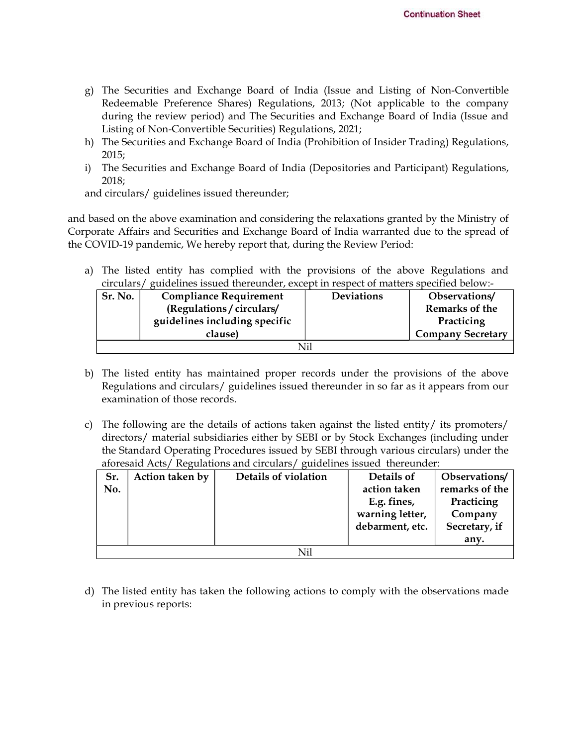- **Continuation Sheet**<br>
g) The Securities and Exchange Board of India (Issue and Listing of Non-Convertible<br>
Redeemable Preference Shares) Regulations, 2013; (Not applicable to the company<br>
during the review period) and The Redeemable Preference Shares) Regulations, 2013; (Not applicable to the company during the review period) and The Securities and Exchange Board of India (Issue and Listing of Non-Convertible Securities) Regulations, 2021; continuation Sheet<br>
g) The Securities and Exchange Board of India (Issue and Listing of Non-Convertible<br>
Redeemable Preference Shares) Regulations, 2013; (Not applicable to the company<br>
during the review period) and The Se **Continuation Sheet**<br> **Continuation Sheet**<br>
Redeemable Preference Shares) Regulations, 2013; (Not applicable to the company<br>
during the review period) and The Securities and Exchange Board of India (Issue and<br>
Listing of N
- 2015;
- 2018;

| g). |         |                                                                                          | The Securities and Exchange Board of India (Issue and Listing of Non-Convertible                                                                                                |  |                   |  |                                 |  |
|-----|---------|------------------------------------------------------------------------------------------|---------------------------------------------------------------------------------------------------------------------------------------------------------------------------------|--|-------------------|--|---------------------------------|--|
|     |         |                                                                                          | Redeemable Preference Shares) Regulations, 2013; (Not applicable to the company                                                                                                 |  |                   |  |                                 |  |
|     |         |                                                                                          | during the review period) and The Securities and Exchange Board of India (Issue and<br>Listing of Non-Convertible Securities) Regulations, 2021;                                |  |                   |  |                                 |  |
| h)  |         |                                                                                          | The Securities and Exchange Board of India (Prohibition of Insider Trading) Regulations,                                                                                        |  |                   |  |                                 |  |
|     | 2015;   |                                                                                          |                                                                                                                                                                                 |  |                   |  |                                 |  |
| i)  |         |                                                                                          | The Securities and Exchange Board of India (Depositories and Participant) Regulations,                                                                                          |  |                   |  |                                 |  |
|     | 2018;   |                                                                                          |                                                                                                                                                                                 |  |                   |  |                                 |  |
|     |         | and circulars/ guidelines issued thereunder;                                             |                                                                                                                                                                                 |  |                   |  |                                 |  |
|     |         |                                                                                          | based on the above examination and considering the relaxations granted by the Ministry of                                                                                       |  |                   |  |                                 |  |
|     |         |                                                                                          | porate Affairs and Securities and Exchange Board of India warranted due to the spread of                                                                                        |  |                   |  |                                 |  |
|     |         |                                                                                          | COVID-19 pandemic, We hereby report that, during the Review Period:                                                                                                             |  |                   |  |                                 |  |
|     |         |                                                                                          |                                                                                                                                                                                 |  |                   |  |                                 |  |
|     |         |                                                                                          | a) The listed entity has complied with the provisions of the above Regulations and                                                                                              |  |                   |  |                                 |  |
|     | Sr. No. |                                                                                          | circulars/ guidelines issued thereunder, except in respect of matters specified below:-<br><b>Compliance Requirement</b>                                                        |  | <b>Deviations</b> |  | Observations/                   |  |
|     |         |                                                                                          | (Regulations / circulars/                                                                                                                                                       |  |                   |  | <b>Remarks of the</b>           |  |
|     |         | guidelines including specific<br>clause)                                                 |                                                                                                                                                                                 |  |                   |  | Practicing                      |  |
|     |         |                                                                                          |                                                                                                                                                                                 |  |                   |  | <b>Company Secretary</b>        |  |
|     |         |                                                                                          | Nil                                                                                                                                                                             |  |                   |  |                                 |  |
| b)  |         |                                                                                          | The listed entity has maintained proper records under the provisions of the above                                                                                               |  |                   |  |                                 |  |
|     |         |                                                                                          | Regulations and circulars/ guidelines issued thereunder in so far as it appears from our                                                                                        |  |                   |  |                                 |  |
|     |         | examination of those records.                                                            |                                                                                                                                                                                 |  |                   |  |                                 |  |
|     |         |                                                                                          |                                                                                                                                                                                 |  |                   |  |                                 |  |
| c)  |         | The following are the details of actions taken against the listed entity/ its promoters/ |                                                                                                                                                                                 |  |                   |  |                                 |  |
|     |         |                                                                                          | directors/ material subsidiaries either by SEBI or by Stock Exchanges (including under<br>the Standard Operating Procedures issued by SEBI through various circulars) under the |  |                   |  |                                 |  |
|     |         |                                                                                          |                                                                                                                                                                                 |  |                   |  |                                 |  |
|     |         | aforesaid Acts/ Regulations and circulars/ guidelines issued thereunder:                 |                                                                                                                                                                                 |  |                   |  |                                 |  |
|     | Sr.     |                                                                                          | Details of violation                                                                                                                                                            |  | Details of        |  |                                 |  |
|     | No.     | Action taken by                                                                          |                                                                                                                                                                                 |  | action taken      |  | Observations/<br>remarks of the |  |

- Regulations and circulars/ guidelines issued thereunder in so far as it appears from our examination of those records.
- directors/ material subsidiaries either by SEBI or by Stock Exchanges (including under the Standard Operating Procedures issued by SEBI through various circulars) under the aforesaid Acts/ Regulations and circulars/ guidelines issued thereunder:

| c).        | examination of those records. | The following are the details of actions taken against the listed entity/ its promoters/<br>directors/ material subsidiaries either by SEBI or by Stock Exchanges (including under<br>the Standard Operating Procedures issued by SEBI through various circulars) under the<br>aforesaid Acts/ Regulations and circulars/ guidelines issued thereunder: |                                                                                 |                                                                                   |  |  |  |
|------------|-------------------------------|---------------------------------------------------------------------------------------------------------------------------------------------------------------------------------------------------------------------------------------------------------------------------------------------------------------------------------------------------------|---------------------------------------------------------------------------------|-----------------------------------------------------------------------------------|--|--|--|
| Sr.<br>No. | Action taken by               | Details of violation                                                                                                                                                                                                                                                                                                                                    | Details of<br>action taken<br>E.g. fines,<br>warning letter,<br>debarment, etc. | Observations/<br>remarks of the<br>Practicing<br>Company<br>Secretary, if<br>any. |  |  |  |
|            | Nil                           |                                                                                                                                                                                                                                                                                                                                                         |                                                                                 |                                                                                   |  |  |  |
|            | in previous reports:          | d) The listed entity has taken the following actions to comply with the observations made                                                                                                                                                                                                                                                               |                                                                                 |                                                                                   |  |  |  |